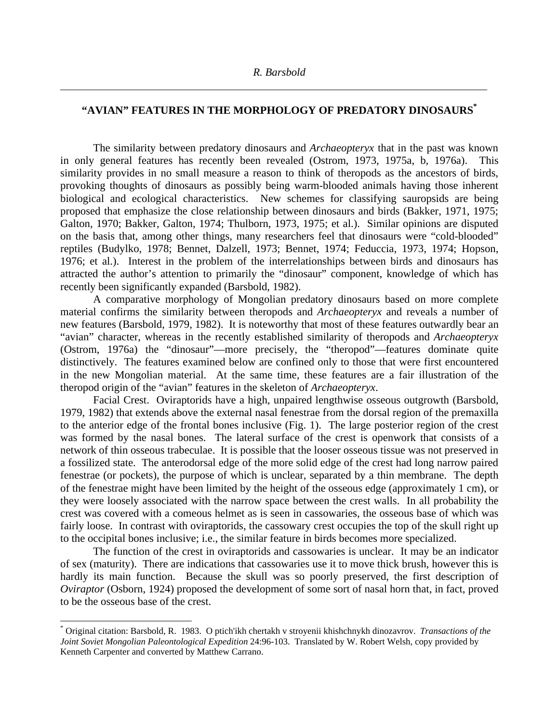$\overline{a}$ 

 $\overline{a}$ 

## **"AVIAN" FEATURES IN THE MORPHOLOGY OF PREDATORY DINOSAURS\***

The similarity between predatory dinosaurs and *Archaeopteryx* that in the past was known in only general features has recently been revealed (Ostrom, 1973, 1975a, b, 1976a). This similarity provides in no small measure a reason to think of theropods as the ancestors of birds, provoking thoughts of dinosaurs as possibly being warm-blooded animals having those inherent biological and ecological characteristics. New schemes for classifying sauropsids are being proposed that emphasize the close relationship between dinosaurs and birds (Bakker, 1971, 1975; Galton, 1970; Bakker, Galton, 1974; Thulborn, 1973, 1975; et al.). Similar opinions are disputed on the basis that, among other things, many researchers feel that dinosaurs were "cold-blooded" reptiles (Budylko, 1978; Bennet, Dalzell, 1973; Bennet, 1974; Feduccia, 1973, 1974; Hopson, 1976; et al.). Interest in the problem of the interrelationships between birds and dinosaurs has attracted the author's attention to primarily the "dinosaur" component, knowledge of which has recently been significantly expanded (Barsbold, 1982).

A comparative morphology of Mongolian predatory dinosaurs based on more complete material confirms the similarity between theropods and *Archaeopteryx* and reveals a number of new features (Barsbold, 1979, 1982). It is noteworthy that most of these features outwardly bear an "avian" character, whereas in the recently established similarity of theropods and *Archaeopteryx* (Ostrom, 1976a) the "dinosaur"—more precisely, the "theropod"—features dominate quite distinctively. The features examined below are confined only to those that were first encountered in the new Mongolian material. At the same time, these features are a fair illustration of the theropod origin of the "avian" features in the skeleton of *Archaeopteryx*.

Facial Crest. Oviraptorids have a high, unpaired lengthwise osseous outgrowth (Barsbold, 1979, 1982) that extends above the external nasal fenestrae from the dorsal region of the premaxilla to the anterior edge of the frontal bones inclusive (Fig. 1). The large posterior region of the crest was formed by the nasal bones. The lateral surface of the crest is openwork that consists of a network of thin osseous trabeculae. It is possible that the looser osseous tissue was not preserved in a fossilized state. The anterodorsal edge of the more solid edge of the crest had long narrow paired fenestrae (or pockets), the purpose of which is unclear, separated by a thin membrane. The depth of the fenestrae might have been limited by the height of the osseous edge (approximately 1 cm), or they were loosely associated with the narrow space between the crest walls. In all probability the crest was covered with a comeous helmet as is seen in cassowaries, the osseous base of which was fairly loose. In contrast with oviraptorids, the cassowary crest occupies the top of the skull right up to the occipital bones inclusive; i.e., the similar feature in birds becomes more specialized.

The function of the crest in oviraptorids and cassowaries is unclear. It may be an indicator of sex (maturity). There are indications that cassowaries use it to move thick brush, however this is hardly its main function. Because the skull was so poorly preserved, the first description of *Oviraptor* (Osborn, 1924) proposed the development of some sort of nasal horn that, in fact, proved to be the osseous base of the crest.

<sup>\*</sup> Original citation: Barsbold, R. 1983. O ptich'ikh chertakh v stroyenii khishchnykh dinozavrov. *Transactions of the Joint Soviet Mongolian Paleontological Expedition* 24:96-103. Translated by W. Robert Welsh, copy provided by Kenneth Carpenter and converted by Matthew Carrano.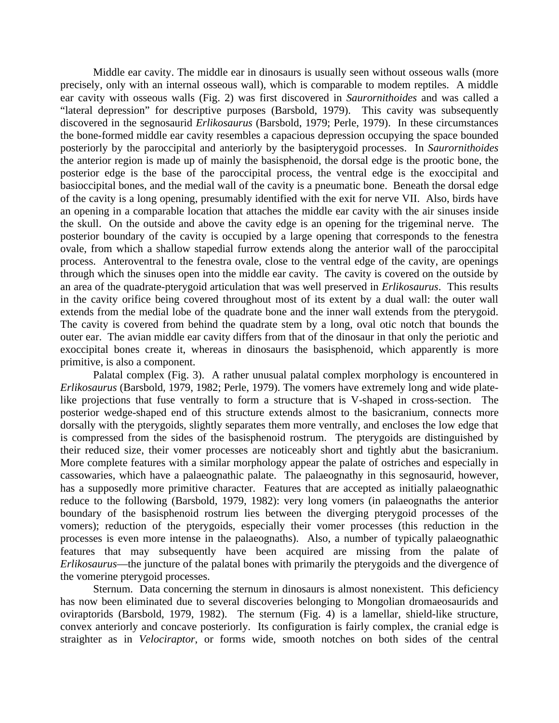Middle ear cavity. The middle ear in dinosaurs is usually seen without osseous walls (more precisely, only with an internal osseous wall), which is comparable to modem reptiles. A middle ear cavity with osseous walls (Fig. 2) was first discovered in *Saurornithoides* and was called a "lateral depression" for descriptive purposes (Barsbold, 1979). This cavity was subsequently discovered in the segnosaurid *Erlikosaurus* (Barsbold, 1979; Perle, 1979). In these circumstances the bone-formed middle ear cavity resembles a capacious depression occupying the space bounded posteriorly by the paroccipital and anteriorly by the basipterygoid processes. In *Saurornithoides* the anterior region is made up of mainly the basisphenoid, the dorsal edge is the prootic bone, the posterior edge is the base of the paroccipital process, the ventral edge is the exoccipital and basioccipital bones, and the medial wall of the cavity is a pneumatic bone. Beneath the dorsal edge of the cavity is a long opening, presumably identified with the exit for nerve VII. Also, birds have an opening in a comparable location that attaches the middle ear cavity with the air sinuses inside the skull. On the outside and above the cavity edge is an opening for the trigeminal nerve. The posterior boundary of the cavity is occupied by a large opening that corresponds to the fenestra ovale, from which a shallow stapedial furrow extends along the anterior wall of the paroccipital process. Anteroventral to the fenestra ovale, close to the ventral edge of the cavity, are openings through which the sinuses open into the middle ear cavity. The cavity is covered on the outside by an area of the quadrate-pterygoid articulation that was well preserved in *Erlikosaurus*. This results in the cavity orifice being covered throughout most of its extent by a dual wall: the outer wall extends from the medial lobe of the quadrate bone and the inner wall extends from the pterygoid. The cavity is covered from behind the quadrate stem by a long, oval otic notch that bounds the outer ear. The avian middle ear cavity differs from that of the dinosaur in that only the periotic and exoccipital bones create it, whereas in dinosaurs the basisphenoid, which apparently is more primitive, is also a component.

Palatal complex (Fig. 3). A rather unusual palatal complex morphology is encountered in *Erlikosaurus* (Barsbold, 1979, 1982; Perle, 1979). The vomers have extremely long and wide platelike projections that fuse ventrally to form a structure that is V-shaped in cross-section. The posterior wedge-shaped end of this structure extends almost to the basicranium, connects more dorsally with the pterygoids, slightly separates them more ventrally, and encloses the low edge that is compressed from the sides of the basisphenoid rostrum. The pterygoids are distinguished by their reduced size, their vomer processes are noticeably short and tightly abut the basicranium. More complete features with a similar morphology appear the palate of ostriches and especially in cassowaries, which have a palaeognathic palate. The palaeognathy in this segnosaurid, however, has a supposedly more primitive character. Features that are accepted as initially palaeognathic reduce to the following (Barsbold, 1979, 1982): very long vomers (in palaeognaths the anterior boundary of the basisphenoid rostrum lies between the diverging pterygoid processes of the vomers); reduction of the pterygoids, especially their vomer processes (this reduction in the processes is even more intense in the palaeognaths). Also, a number of typically palaeognathic features that may subsequently have been acquired are missing from the palate of *Erlikosaurus*—the juncture of the palatal bones with primarily the pterygoids and the divergence of the vomerine pterygoid processes.

Sternum. Data concerning the sternum in dinosaurs is almost nonexistent. This deficiency has now been eliminated due to several discoveries belonging to Mongolian dromaeosaurids and oviraptorids (Barsbold, 1979, 1982). The sternum (Fig. 4) is a lamellar, shield-like structure, convex anteriorly and concave posteriorly. Its configuration is fairly complex, the cranial edge is straighter as in *Velociraptor*, or forms wide, smooth notches on both sides of the central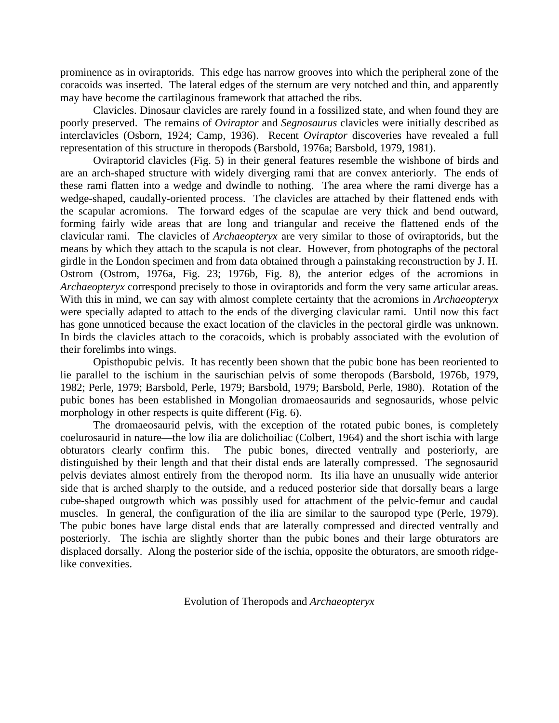prominence as in oviraptorids. This edge has narrow grooves into which the peripheral zone of the coracoids was inserted. The lateral edges of the sternum are very notched and thin, and apparently may have become the cartilaginous framework that attached the ribs.

Clavicles. Dinosaur clavicles are rarely found in a fossilized state, and when found they are poorly preserved. The remains of *Oviraptor* and *Segnosaurus* clavicles were initially described as interclavicles (Osborn, 1924; Camp, 1936). Recent *Oviraptor* discoveries have revealed a full representation of this structure in theropods (Barsbold, 1976a; Barsbold, 1979, 1981).

Oviraptorid clavicles (Fig. 5) in their general features resemble the wishbone of birds and are an arch-shaped structure with widely diverging rami that are convex anteriorly. The ends of these rami flatten into a wedge and dwindle to nothing. The area where the rami diverge has a wedge-shaped, caudally-oriented process. The clavicles are attached by their flattened ends with the scapular acromions. The forward edges of the scapulae are very thick and bend outward, forming fairly wide areas that are long and triangular and receive the flattened ends of the clavicular rami. The clavicles of *Archaeopteryx* are very similar to those of oviraptorids, but the means by which they attach to the scapula is not clear. However, from photographs of the pectoral girdle in the London specimen and from data obtained through a painstaking reconstruction by J. H. Ostrom (Ostrom, 1976a, Fig. 23; 1976b, Fig. 8), the anterior edges of the acromions in *Archaeopteryx* correspond precisely to those in oviraptorids and form the very same articular areas. With this in mind, we can say with almost complete certainty that the acromions in *Archaeopteryx* were specially adapted to attach to the ends of the diverging clavicular rami. Until now this fact has gone unnoticed because the exact location of the clavicles in the pectoral girdle was unknown. In birds the clavicles attach to the coracoids, which is probably associated with the evolution of their forelimbs into wings.

Opisthopubic pelvis. It has recently been shown that the pubic bone has been reoriented to lie parallel to the ischium in the saurischian pelvis of some theropods (Barsbold, 1976b, 1979, 1982; Perle, 1979; Barsbold, Perle, 1979; Barsbold, 1979; Barsbold, Perle, 1980). Rotation of the pubic bones has been established in Mongolian dromaeosaurids and segnosaurids, whose pelvic morphology in other respects is quite different (Fig. 6).

The dromaeosaurid pelvis, with the exception of the rotated pubic bones, is completely coelurosaurid in nature—the low ilia are dolichoiliac (Colbert, 1964) and the short ischia with large obturators clearly confirm this. The pubic bones, directed ventrally and posteriorly, are distinguished by their length and that their distal ends are laterally compressed. The segnosaurid pelvis deviates almost entirely from the theropod norm. Its ilia have an unusually wide anterior side that is arched sharply to the outside, and a reduced posterior side that dorsally bears a large cube-shaped outgrowth which was possibly used for attachment of the pelvic-femur and caudal muscles. In general, the configuration of the ilia are similar to the sauropod type (Perle, 1979). The pubic bones have large distal ends that are laterally compressed and directed ventrally and posteriorly. The ischia are slightly shorter than the pubic bones and their large obturators are displaced dorsally. Along the posterior side of the ischia, opposite the obturators, are smooth ridgelike convexities.

Evolution of Theropods and *Archaeopteryx*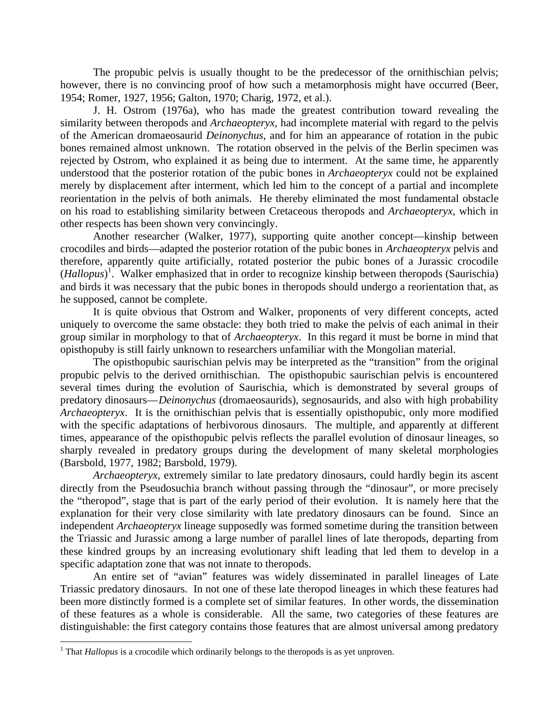The propubic pelvis is usually thought to be the predecessor of the ornithischian pelvis; however, there is no convincing proof of how such a metamorphosis might have occurred (Beer, 1954; Romer, 1927, 1956; Galton, 1970; Charig, 1972, et al.).

J. H. Ostrom (1976a), who has made the greatest contribution toward revealing the similarity between theropods and *Archaeopteryx*, had incomplete material with regard to the pelvis of the American dromaeosaurid *Deinonychus*, and for him an appearance of rotation in the pubic bones remained almost unknown. The rotation observed in the pelvis of the Berlin specimen was rejected by Ostrom, who explained it as being due to interment. At the same time, he apparently understood that the posterior rotation of the pubic bones in *Archaeopteryx* could not be explained merely by displacement after interment, which led him to the concept of a partial and incomplete reorientation in the pelvis of both animals. He thereby eliminated the most fundamental obstacle on his road to establishing similarity between Cretaceous theropods and *Archaeopteryx*, which in other respects has been shown very convincingly.

Another researcher (Walker, 1977), supporting quite another concept—kinship between crocodiles and birds—adapted the posterior rotation of the pubic bones in *Archaeopteryx* pelvis and therefore, apparently quite artificially, rotated posterior the pubic bones of a Jurassic crocodile (*Hallopus*) 1 . Walker emphasized that in order to recognize kinship between theropods (Saurischia) and birds it was necessary that the pubic bones in theropods should undergo a reorientation that, as he supposed, cannot be complete.

It is quite obvious that Ostrom and Walker, proponents of very different concepts, acted uniquely to overcome the same obstacle: they both tried to make the pelvis of each animal in their group similar in morphology to that of *Archaeopteryx*. In this regard it must be borne in mind that opisthopuby is still fairly unknown to researchers unfamiliar with the Mongolian material.

The opisthopubic saurischian pelvis may be interpreted as the "transition" from the original propubic pelvis to the derived ornithischian. The opisthopubic saurischian pelvis is encountered several times during the evolution of Saurischia, which is demonstrated by several groups of predatory dinosaurs—*Deinonychus* (dromaeosaurids), segnosaurids, and also with high probability *Archaeopteryx*. It is the ornithischian pelvis that is essentially opisthopubic, only more modified with the specific adaptations of herbivorous dinosaurs. The multiple, and apparently at different times, appearance of the opisthopubic pelvis reflects the parallel evolution of dinosaur lineages, so sharply revealed in predatory groups during the development of many skeletal morphologies (Barsbold, 1977, 1982; Barsbold, 1979).

*Archaeopteryx*, extremely similar to late predatory dinosaurs, could hardly begin its ascent directly from the Pseudosuchia branch without passing through the "dinosaur", or more precisely the "theropod", stage that is part of the early period of their evolution. It is namely here that the explanation for their very close similarity with late predatory dinosaurs can be found. Since an independent *Archaeopteryx* lineage supposedly was formed sometime during the transition between the Triassic and Jurassic among a large number of parallel lines of late theropods, departing from these kindred groups by an increasing evolutionary shift leading that led them to develop in a specific adaptation zone that was not innate to theropods.

An entire set of "avian" features was widely disseminated in parallel lineages of Late Triassic predatory dinosaurs. In not one of these late theropod lineages in which these features had been more distinctly formed is a complete set of similar features. In other words, the dissemination of these features as a whole is considerable. All the same, two categories of these features are distinguishable: the first category contains those features that are almost universal among predatory

 $\overline{a}$ 

<sup>&</sup>lt;sup>1</sup> That *Hallopus* is a crocodile which ordinarily belongs to the theropods is as yet unproven.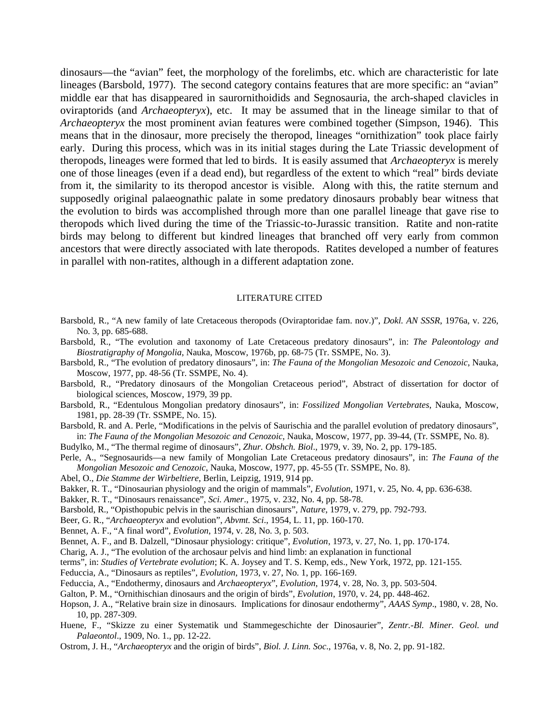dinosaurs—the "avian" feet, the morphology of the forelimbs, etc. which are characteristic for late lineages (Barsbold, 1977). The second category contains features that are more specific: an "avian" middle ear that has disappeared in saurornithoidids and Segnosauria, the arch-shaped clavicles in oviraptorids (and *Archaeopteryx*), etc. It may be assumed that in the lineage similar to that of *Archaeopteryx* the most prominent avian features were combined together (Simpson, 1946). This means that in the dinosaur, more precisely the theropod, lineages "ornithization" took place fairly early. During this process, which was in its initial stages during the Late Triassic development of theropods, lineages were formed that led to birds. It is easily assumed that *Archaeopteryx* is merely one of those lineages (even if a dead end), but regardless of the extent to which "real" birds deviate from it, the similarity to its theropod ancestor is visible. Along with this, the ratite sternum and supposedly original palaeognathic palate in some predatory dinosaurs probably bear witness that the evolution to birds was accomplished through more than one parallel lineage that gave rise to theropods which lived during the time of the Triassic-to-Jurassic transition. Ratite and non-ratite birds may belong to different but kindred lineages that branched off very early from common ancestors that were directly associated with late theropods. Ratites developed a number of features in parallel with non-ratites, although in a different adaptation zone.

## LITERATURE CITED

Barsbold, R., "A new family of late Cretaceous theropods (Oviraptoridae fam. nov.)", *Dokl. AN SSSR*, 1976a, v. 226, No. 3, pp. 685-688.

Barsbold, R., "The evolution and taxonomy of Late Cretaceous predatory dinosaurs", in: *The Paleontology and Biostratigraphy of Mongolia*, Nauka, Moscow, 1976b, pp. 68-75 (Tr. SSMPE, No. 3).

- Barsbold, R., "The evolution of predatory dinosaurs", in: *The Fauna of the Mongolian Mesozoic and Cenozoic*, Nauka, Moscow, 1977, pp. 48-56 (Tr. SSMPE, No. 4).
- Barsbold, R., "Predatory dinosaurs of the Mongolian Cretaceous period", Abstract of dissertation for doctor of biological sciences, Moscow, 1979, 39 pp.
- Barsbold, R., "Edentulous Mongolian predatory dinosaurs", in: *Fossilized Mongolian Vertebrates*, Nauka, Moscow, 1981, pp. 28-39 (Tr. SSMPE, No. 15).

Barsbold, R. and A. Perle, "Modifications in the pelvis of Saurischia and the parallel evolution of predatory dinosaurs", in: *The Fauna of the Mongolian Mesozoic and Cenozoic*, Nauka, Moscow, 1977, pp. 39-44, (Tr. SSMPE, No. 8).

Budylko, M., "The thermal regime of dinosaurs", *Zhur. Obshch. Biol*., 1979, v. 39, No. 2, pp. 179-185.

Perle, A., "Segnosaurids—a new family of Mongolian Late Cretaceous predatory dinosaurs", in: *The Fauna of the Mongolian Mesozoic and Cenozoic*, Nauka, Moscow, 1977, pp. 45-55 (Tr. SSMPE, No. 8).

Abel, O., *Die Stamme der Wirbeltiere*, Berlin, Leipzig, 1919, 914 pp.

Bakker, R. T., "Dinosaurian physiology and the origin of mammals", *Evolution*, 1971, v. 25, No. 4, pp. 636-638.

Bakker, R. T., "Dinosaurs renaissance", *Sci. Amer*., 1975, v. 232, No. 4, pp. 58-78.

Barsbold, R., "Opisthopubic pelvis in the saurischian dinosaurs", *Nature*, 1979, v. 279, pp. 792-793.

Beer, G. R., "*Archaeopteryx* and evolution", *Abvmt. Sci*., 1954, L. 11, pp. 160-170.

Bennet, A. F., "A final word", *Evolution*, 1974, v. 28, No. 3, p. 503.

Bennet, A. F., and B. Dalzell, "Dinosaur physiology: critique", *Evolution*, 1973, v. 27, No. 1, pp. 170-174.

Charig, A. J., "The evolution of the archosaur pelvis and hind limb: an explanation in functional

terms", in: *Studies of Vertebrate evolution*; K. A. Joysey and T. S. Kemp, eds., New York, 1972, pp. 121-155.

Feduccia, A., "Dinosaurs as reptiles", *Evolution*, 1973, v. 27, No. 1, pp. 166-169.

Feduccia, A., "Endothermy, dinosaurs and *Archaeopteryx*", *Evolution*, 1974, v. 28, No. 3, pp. 503-504.

Galton, P. M., "Ornithischian dinosaurs and the origin of birds", *Evolution*, 1970, v. 24, pp. 448-462.

Hopson, J. A., "Relative brain size in dinosaurs. Implications for dinosaur endothermy", *AAAS Symp*., 1980, v. 28, No. 10, pp. 287-309.

Huene, F., "Skizze zu einer Systematik und Stammegeschichte der Dinosaurier", *Zentr.-Bl. Miner. Geol. und Palaeontol*., 1909, No. 1., pp. 12-22.

Ostrom, J. H., "*Archaeopteryx* and the origin of birds", *Biol. J. Linn. Soc*., 1976a, v. 8, No. 2, pp. 91-182.